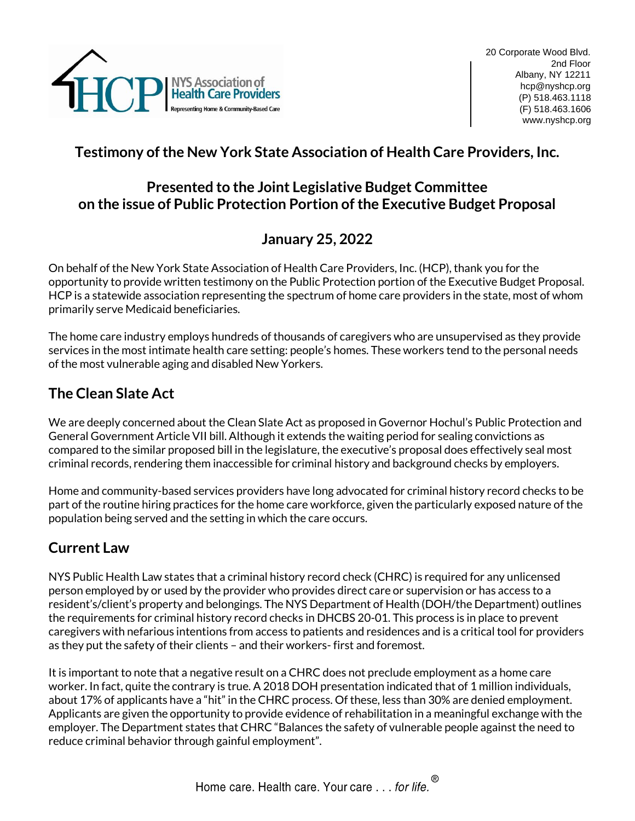

# **Testimony of the New York State Association of Health Care Providers, Inc.**

#### **Presented to the Joint Legislative Budget Committee on the issue of Public Protection Portion of the Executive Budget Proposal**

## **January 25, 2022**

On behalf of the New York State Association of Health Care Providers, Inc. (HCP), thank you for the opportunity to provide written testimony on the Public Protection portion of the Executive Budget Proposal. HCP is a statewide association representing the spectrum of home care providers in the state, most of whom primarily serve Medicaid beneficiaries.

The home care industry employs hundreds of thousands of caregivers who are unsupervised as they provide services in the most intimate health care setting: people's homes. These workers tend to the personal needs of the most vulnerable aging and disabled New Yorkers.

## **The Clean Slate Act**

We are deeply concerned about the Clean Slate Act as proposed in Governor Hochul's Public Protection and General Government Article VII bill. Although it extends the waiting period for sealing convictions as compared to the similar proposed bill in the legislature, the executive's proposal does effectively seal most criminal records, rendering them inaccessible for criminal history and background checks by employers.

Home and community-based services providers have long advocated for criminal history record checks to be part of the routine hiring practices for the home care workforce, given the particularly exposed nature of the population being served and the setting in which the care occurs.

#### **Current Law**

NYS Public Health Law states that a criminal history record check (CHRC) is required for any unlicensed person employed by or used by the provider who provides direct care or supervision or has access to a resident's/client's property and belongings. The NYS Department of Health (DOH/the Department) outlines the requirements for criminal history record checks in DHCBS 20-01. This process is in place to prevent caregivers with nefarious intentions from access to patients and residences and is a critical tool for providers as they put the safety of their clients – and their workers- first and foremost.

It is important to note that a negative result on a CHRC does not preclude employment as a home care worker. In fact, quite the contrary is true. A 2018 DOH presentation indicated that of 1 million individuals, about 17% of applicants have a "hit" in the CHRC process. Of these, less than 30% are denied employment. Applicants are given the opportunity to provide evidence of rehabilitation in a meaningful exchange with the employer. The Department states that CHRC "Balances the safety of vulnerable people against the need to reduce criminal behavior through gainful employment".